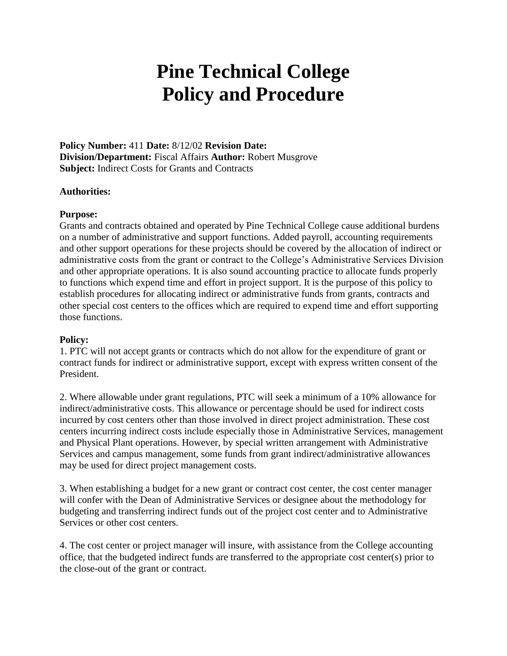# **Pine Technical College Policy and Procedure**

**Policy Number:** 411 **Date:** 8/12/02 **Revision Date: Division/Department:** Fiscal Affairs **Author:** Robert Musgrove **Subject:** Indirect Costs for Grants and Contracts

# **Authorities:**

# **Purpose:**

Grants and contracts obtained and operated by Pine Technical College cause additional burdens on a number of administrative and support functions. Added payroll, accounting requirements and other support operations for these projects should be covered by the allocation of indirect or administrative costs from the grant or contract to the College's Administrative Services Division and other appropriate operations. It is also sound accounting practice to allocate funds properly to functions which expend time and effort in project support. It is the purpose of this policy to establish procedures for allocating indirect or administrative funds from grants, contracts and other special cost centers to the offices which are required to expend time and effort supporting those functions.

### **Policy:**

1. PTC will not accept grants or contracts which do not allow for the expenditure of grant or contract funds for indirect or administrative support, except with express written consent of the President.

2. Where allowable under grant regulations, PTC will seek a minimum of a 10% allowance for indirect/administrative costs. This allowance or percentage should be used for indirect costs incurred by cost centers other than those involved in direct project administration. These cost centers incurring indirect costs include especially those in Administrative Services, management and Physical Plant operations. However, by special written arrangement with Administrative Services and campus management, some funds from grant indirect/administrative allowances may be used for direct project management costs.

3. When establishing a budget for a new grant or contract cost center, the cost center manager will confer with the Dean of Administrative Services or designee about the methodology for budgeting and transferring indirect funds out of the project cost center and to Administrative Services or other cost centers.

4. The cost center or project manager will insure, with assistance from the College accounting office, that the budgeted indirect funds are transferred to the appropriate cost center(s) prior to the close-out of the grant or contract.